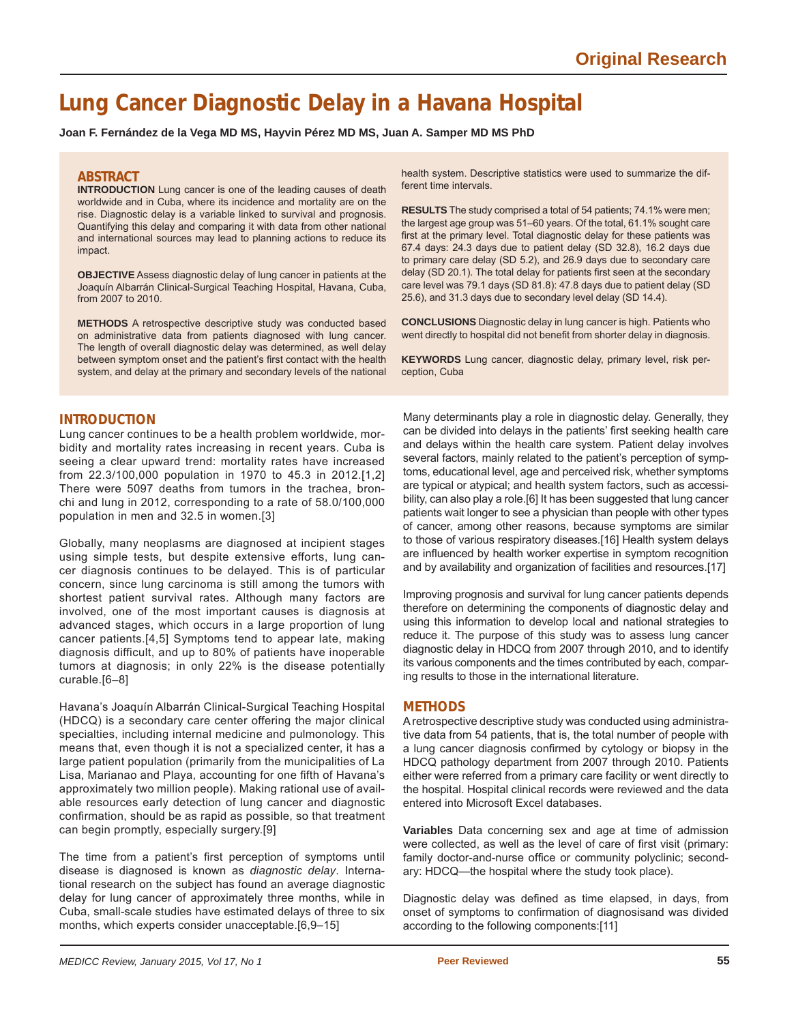# **Lung Cancer Diagnostic Delay in a Havana Hospital**

**Joan F. Fernández de la Vega MD MS, Hayvin Pérez MD MS, Juan A. Samper MD MS PhD**

# **ABSTRACT**

**INTRODUCTION** Lung cancer is one of the leading causes of death worldwide and in Cuba, where its incidence and mortality are on the rise. Diagnostic delay is a variable linked to survival and prognosis. Quantifying this delay and comparing it with data from other national and international sources may lead to planning actions to reduce its impact.

**OBJECTIVE** Assess diagnostic delay of lung cancer in patients at the Joaquín Albarrán Clinical-Surgical Teaching Hospital, Havana, Cuba, from 2007 to 2010.

**METHODS** A retrospective descriptive study was conducted based on administrative data from patients diagnosed with lung cancer. The length of overall diagnostic delay was determined, as well delay between symptom onset and the patient's first contact with the health system, and delay at the primary and secondary levels of the national health system. Descriptive statistics were used to summarize the different time intervals.

**RESULTS** The study comprised a total of 54 patients; 74.1% were men; the largest age group was 51–60 years. Of the total, 61.1% sought care first at the primary level. Total diagnostic delay for these patients was 67.4 days: 24.3 days due to patient delay (SD 32.8), 16.2 days due to primary care delay (SD 5.2), and 26.9 days due to secondary care delay (SD 20.1). The total delay for patients first seen at the secondary care level was 79.1 days (SD 81.8): 47.8 days due to patient delay (SD 25.6), and 31.3 days due to secondary level delay (SD 14.4).

**CONCLUSIONS** Diagnostic delay in lung cancer is high. Patients who went directly to hospital did not benefit from shorter delay in diagnosis.

**KEYWORDS** Lung cancer, diagnostic delay, primary level, risk perception, Cuba

# **INTRODUCTION**

Lung cancer continues to be a health problem worldwide, morbidity and mortality rates increasing in recent years. Cuba is seeing a clear upward trend: mortality rates have increased from 22.3/100,000 population in 1970 to 45.3 in 2012.[1,2] There were 5097 deaths from tumors in the trachea, bronchi and lung in 2012, corresponding to a rate of 58.0/100,000 population in men and 32.5 in women.[3]

Globally, many neoplasms are diagnosed at incipient stages using simple tests, but despite extensive efforts, lung cancer diagnosis continues to be delayed. This is of particular concern, since lung carcinoma is still among the tumors with shortest patient survival rates. Although many factors are involved, one of the most important causes is diagnosis at advanced stages, which occurs in a large proportion of lung cancer patients.[4,5] Symptoms tend to appear late, making diagnosis difficult, and up to 80% of patients have inoperable tumors at diagnosis; in only 22% is the disease potentially curable.[6–8]

Havana's Joaquín Albarrán Clinical-Surgical Teaching Hospital (HDCQ) is a secondary care center offering the major clinical specialties, including internal medicine and pulmonology. This means that, even though it is not a specialized center, it has a large patient population (primarily from the municipalities of La Lisa, Marianao and Playa, accounting for one fifth of Havana's approximately two million people). Making rational use of available resources early detection of lung cancer and diagnostic confirmation, should be as rapid as possible, so that treatment can begin promptly, especially surgery.[9]

The time from a patient's first perception of symptoms until disease is diagnosed is known as *diagnostic delay*. International research on the subject has found an average diagnostic delay for lung cancer of approximately three months, while in Cuba, small-scale studies have estimated delays of three to six months, which experts consider unacceptable.[6,9–15]

Many determinants play a role in diagnostic delay. Generally, they can be divided into delays in the patients' first seeking health care and delays within the health care system. Patient delay involves several factors, mainly related to the patient's perception of symptoms, educational level, age and perceived risk, whether symptoms are typical or atypical; and health system factors, such as accessibility, can also play a role.[6] It has been suggested that lung cancer patients wait longer to see a physician than people with other types of cancer, among other reasons, because symptoms are similar to those of various respiratory diseases.[16] Health system delays are influenced by health worker expertise in symptom recognition and by availability and organization of facilities and resources.[17]

Improving prognosis and survival for lung cancer patients depends therefore on determining the components of diagnostic delay and using this information to develop local and national strategies to reduce it. The purpose of this study was to assess lung cancer diagnostic delay in HDCQ from 2007 through 2010, and to identify its various components and the times contributed by each, comparing results to those in the international literature.

## **METHODS**

A retrospective descriptive study was conducted using administrative data from 54 patients, that is, the total number of people with a lung cancer diagnosis confirmed by cytology or biopsy in the HDCQ pathology department from 2007 through 2010. Patients either were referred from a primary care facility or went directly to the hospital. Hospital clinical records were reviewed and the data entered into Microsoft Excel databases.

**Variables** Data concerning sex and age at time of admission were collected, as well as the level of care of first visit (primary: family doctor-and-nurse office or community polyclinic; secondary: HDCQ—the hospital where the study took place).

Diagnostic delay was defined as time elapsed, in days, from onset of symptoms to confirmation of diagnosisand was divided according to the following components:[11]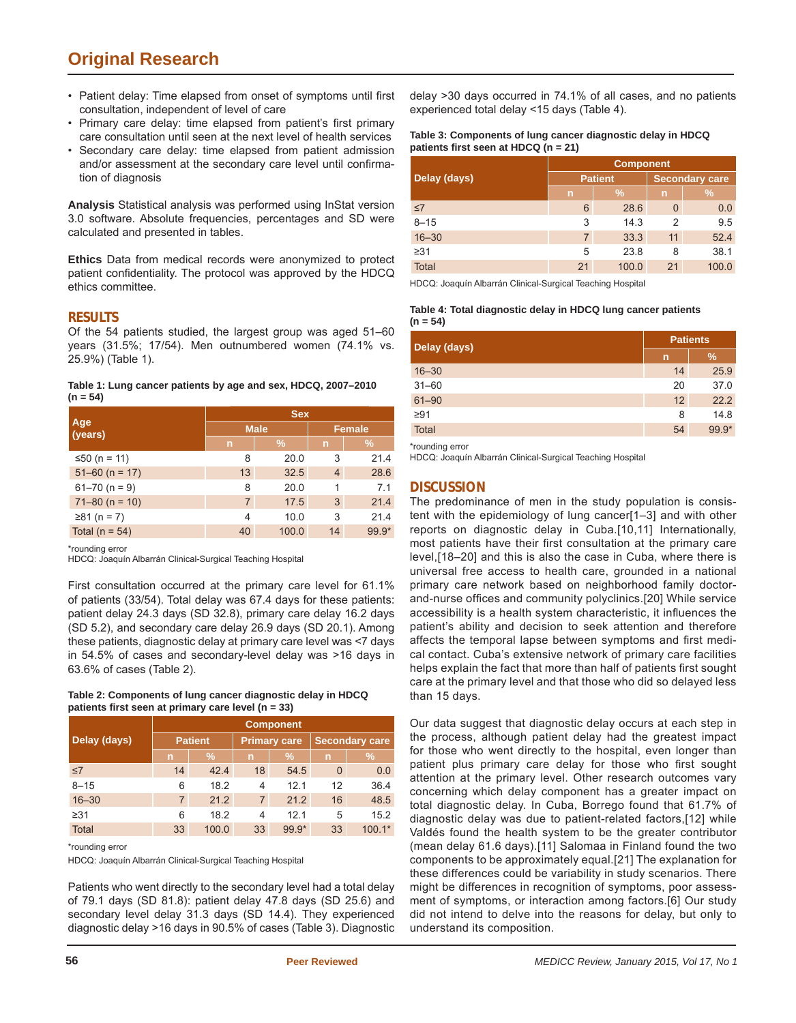# **Original Research**

- Patient delay: Time elapsed from onset of symptoms until first consultation, independent of level of care
- Primary care delay: time elapsed from patient's first primary care consultation until seen at the next level of health services
- Secondary care delay: time elapsed from patient admission and/or assessment at the secondary care level until confirmation of diagnosis

**Analysis** Statistical analysis was performed using InStat version 3.0 software. Absolute frequencies, percentages and SD were calculated and presented in tables.

**Ethics** Data from medical records were anonymized to protect patient confidentiality. The protocol was approved by the HDCQ ethics committee.

# **RESULTS**

Of the 54 patients studied, the largest group was aged 51–60 years (31.5%; 17/54). Men outnumbered women (74.1% vs. 25.9%) (Table 1).

#### **Table 1: Lung cancer patients by age and sex, HDCQ, 2007–2010 (n = 54)**

|                    | <b>Sex</b>     |             |                |       |  |
|--------------------|----------------|-------------|----------------|-------|--|
| Age<br>(years)     |                | <b>Male</b> | <b>Female</b>  |       |  |
|                    | n              | $\%$        | n              | $\%$  |  |
| ≤50 (n = 11)       | 8              | 20.0        | 3              | 21.4  |  |
| $51 - 60$ (n = 17) | 13             | 32.5        | $\overline{4}$ | 28.6  |  |
| $61 - 70$ (n = 9)  | 8              | 20.0        |                | 7.1   |  |
| $71 - 80$ (n = 10) | $\overline{7}$ | 17.5        | 3              | 21.4  |  |
| $≥81$ (n = 7)      | 4              | 10.0        | 3              | 21.4  |  |
| Total ( $n = 54$ ) | 40             | 100.0       | 14             | 99.9* |  |

\*rounding error

HDCQ: Joaquín Albarrán Clinical-Surgical Teaching Hospital

First consultation occurred at the primary care level for 61.1% of patients (33/54). Total delay was 67.4 days for these patients: patient delay 24.3 days (SD 32.8), primary care delay 16.2 days (SD 5.2), and secondary care delay 26.9 days (SD 20.1). Among these patients, diagnostic delay at primary care level was <7 days in 54.5% of cases and secondary-level delay was >16 days in 63.6% of cases (Table 2).

#### **Table 2: Components of lung cancer diagnostic delay in HDCQ patients fi rst seen at primary care level (n = 33)**

|              | <b>Component</b> |               |                     |                 |                       |          |
|--------------|------------------|---------------|---------------------|-----------------|-----------------------|----------|
| Delay (days) | <b>Patient</b>   |               | <b>Primary care</b> |                 | <b>Secondary care</b> |          |
|              | n                | $\frac{9}{6}$ | n                   | $\%$            | n                     | $\%$     |
| $\leq 7$     | 14               | 42.4          | 18                  | 54.5            | $\mathbf 0$           | 0.0      |
| $8 - 15$     | 6                | 18.2          | 4                   | 12 <sub>1</sub> | 12                    | 36.4     |
| $16 - 30$    | $\overline{7}$   | 21.2          | $\overline{7}$      | 21.2            | 16                    | 48.5     |
| $\geq 31$    | 6                | 18.2          | 4                   | 12.1            | 5                     | 15.2     |
| Total        | 33               | 100.0         | 33                  | 99.9*           | 33                    | $100.1*$ |

#### \*rounding error

HDCQ: Joaquín Albarrán Clinical-Surgical Teaching Hospital

Patients who went directly to the secondary level had a total delay of 79.1 days (SD 81.8): patient delay 47.8 days (SD 25.6) and secondary level delay 31.3 days (SD 14.4). They experienced diagnostic delay >16 days in 90.5% of cases (Table 3). Diagnostic delay >30 days occurred in 74.1% of all cases, and no patients experienced total delay <15 days (Table 4).

#### **Table 3: Components of lung cancer diagnostic delay in HDCQ patients fi rst seen at HDCQ (n = 21)**

|              | <b>Component</b> |                |                       |       |  |
|--------------|------------------|----------------|-----------------------|-------|--|
| Delay (days) |                  | <b>Patient</b> | <b>Secondary care</b> |       |  |
|              | n                | $\%$           | $\mathsf{n}$          | $\%$  |  |
| $\leq 7$     | 6                | 28.6           | 0                     | 0.0   |  |
| $8 - 15$     | 3                | 14.3           |                       | 9.5   |  |
| $16 - 30$    | 7                | 33.3           | 11                    | 52.4  |  |
| $\geq$ 31    | 5                | 23.8           | 8                     | 38.1  |  |
| <b>Total</b> | 21               | 100.0          | 21                    | 100.0 |  |

HDCQ: Joaquín Albarrán Clinical-Surgical Teaching Hospital

#### **Table 4: Total diagnostic delay in HDCQ lung cancer patients (n = 54)**

| Delay (days) | <b>Patients</b> |         |
|--------------|-----------------|---------|
|              | $\mathsf{n}$    | %       |
| $16 - 30$    | 14              | 25.9    |
| $31 - 60$    | 20              | 37.0    |
| $61 - 90$    | 12              | 22.2    |
| $\geq 91$    | 8               | 14.8    |
| Total        | 54              | $99.9*$ |

\*rounding error

HDCQ: Joaquín Albarrán Clinical-Surgical Teaching Hospital

# **DISCUSSION**

The predominance of men in the study population is consistent with the epidemiology of lung cancer[1–3] and with other reports on diagnostic delay in Cuba.[10,11] Internationally, most patients have their first consultation at the primary care level,[18–20] and this is also the case in Cuba, where there is universal free access to health care, grounded in a national primary care network based on neighborhood family doctorand-nurse offices and community polyclinics.[20] While service accessibility is a health system characteristic, it influences the patient's ability and decision to seek attention and therefore affects the temporal lapse between symptoms and first medical contact. Cuba's extensive network of primary care facilities helps explain the fact that more than half of patients first sought care at the primary level and that those who did so delayed less than 15 days.

Our data suggest that diagnostic delay occurs at each step in the process, although patient delay had the greatest impact for those who went directly to the hospital, even longer than patient plus primary care delay for those who first sought attention at the primary level. Other research outcomes vary concerning which delay component has a greater impact on total diagnostic delay. In Cuba, Borrego found that 61.7% of diagnostic delay was due to patient-related factors,[12] while Valdés found the health system to be the greater contributor (mean delay 61.6 days).[11] Salomaa in Finland found the two components to be approximately equal.[21] The explanation for these differences could be variability in study scenarios. There might be differences in recognition of symptoms, poor assessment of symptoms, or interaction among factors.[6] Our study did not intend to delve into the reasons for delay, but only to understand its composition.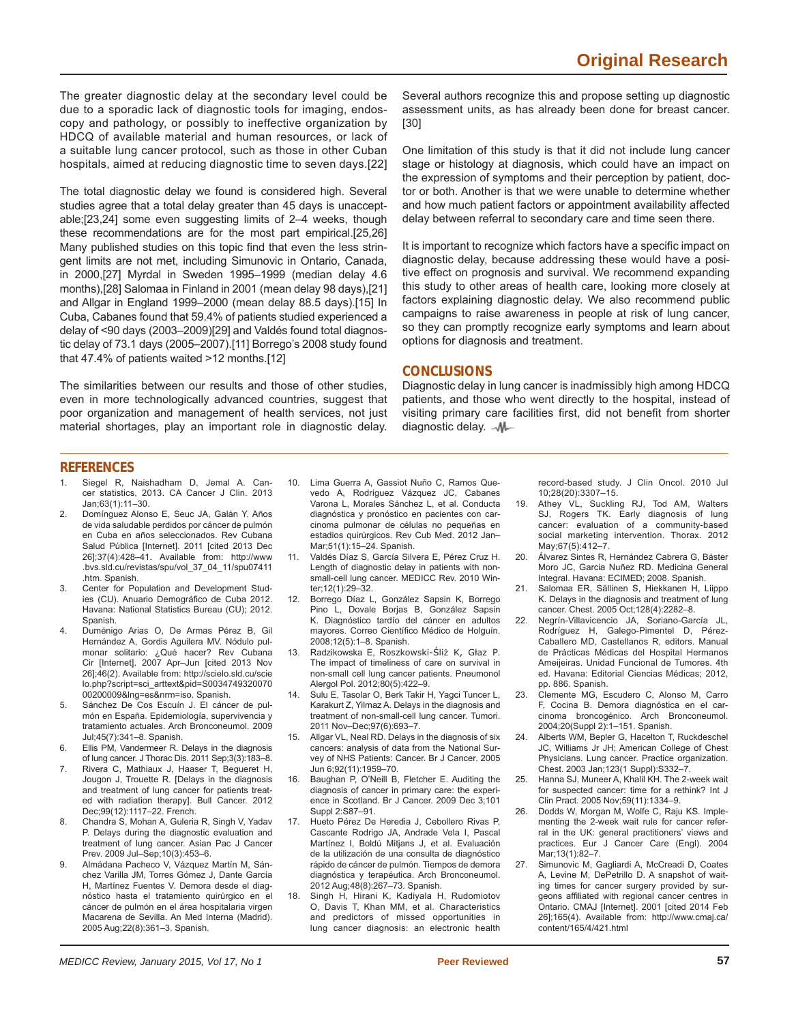The greater diagnostic delay at the secondary level could be due to a sporadic lack of diagnostic tools for imaging, endoscopy and pathology, or possibly to ineffective organization by HDCQ of available material and human resources, or lack of a suitable lung cancer protocol, such as those in other Cuban hospitals, aimed at reducing diagnostic time to seven days.[22]

The total diagnostic delay we found is considered high. Several studies agree that a total delay greater than 45 days is unacceptable;[23,24] some even suggesting limits of 2–4 weeks, though these recommendations are for the most part empirical.[25,26] Many published studies on this topic find that even the less stringent limits are not met, including Simunovic in Ontario, Canada, in 2000,[27] Myrdal in Sweden 1995–1999 (median delay 4.6 months),[28] Salomaa in Finland in 2001 (mean delay 98 days),[21] and Allgar in England 1999–2000 (mean delay 88.5 days).[15] In Cuba, Cabanes found that 59.4% of patients studied experienced a delay of <90 days (2003–2009)[29] and Valdés found total diagnostic delay of 73.1 days (2005–2007).[11] Borrego's 2008 study found that 47.4% of patients waited >12 months.[12]

The similarities between our results and those of other studies, even in more technologically advanced countries, suggest that poor organization and management of health services, not just material shortages, play an important role in diagnostic delay.

Several authors recognize this and propose setting up diagnostic assessment units, as has already been done for breast cancer. [30]

One limitation of this study is that it did not include lung cancer stage or histology at diagnosis, which could have an impact on the expression of symptoms and their perception by patient, doctor or both. Another is that we were unable to determine whether and how much patient factors or appointment availability affected delay between referral to secondary care and time seen there.

It is important to recognize which factors have a specific impact on diagnostic delay, because addressing these would have a positive effect on prognosis and survival. We recommend expanding this study to other areas of health care, looking more closely at factors explaining diagnostic delay. We also recommend public campaigns to raise awareness in people at risk of lung cancer, so they can promptly recognize early symptoms and learn about options for diagnosis and treatment.

# **CONCLUSIONS**

Diagnostic delay in lung cancer is inadmissibly high among HDCQ patients, and those who went directly to the hospital, instead of visiting primary care facilities first, did not benefit from shorter diagnostic delay.  $-M$ -

## **REFERENCES**

- Siegel R, Naishadham D, Jemal A. Cancer statistics, 2013. CA Cancer J Clin. 2013 Jan;63(1):11–30.
- 2. Domínguez Alonso E, Seuc JA, Galán Y. Años de vida saludable perdidos por cáncer de pulmón en Cuba en años seleccionados. Rev Cubana Salud Pública [Internet]. 2011 [cited 2013 Dec 26];37(4):428 –41. Available from: http://www .bvs.sld.cu/revistas/spu/vol\_37\_04\_11/spu07411 .htm. Spanish.
- 3. Center for Population and Development Studies (CU). Anuario Demográfico de Cuba 2012. Havana: National Statistics Bureau (CU); 2012. Spanish.
- 4. Duménigo Arias O, De Armas Pérez B, Gil Hernández A, Gordis Aguilera MV. Nódulo pulmonar solitario: ¿Qué hacer? Rev Cubana Cir [Internet]. 2007 Apr–Jun [cited 2013 Nov 26];46(2). Available from: http://scielo.sld.cu/scie lo.php?script=sci\_arttext&pid=S0034749320070 00200009&lng=es&nrm=iso. Spanish.
- 5. Sánchez De Cos Escuín J. El cáncer de pulmón en España. Epidemiología, supervivencia y tratamiento actuales. Arch Bronconeumol. 2009 Jul;45(7):341–8. Spanish.
- 6. Ellis PM, Vandermeer R. Delays in the diagnosis of lung cancer. J Thorac Dis. 2011 Sep;3(3):183–8.
- 7. Rivera C, Mathiaux J, Haaser T, Begueret H, Jougon J, Trouette R. [Delays in the diagnosis and treatment of lung cancer for patients treated with radiation therapy]. Bull Cancer. 2012 Dec;99(12):1117–22. French.
- 8. Chandra S, Mohan A, Guleria R, Singh V, Yadav P. Delays during the diagnostic evaluation and treatment of lung cancer. Asian Pac J Cancer Prev. 2009 Jul–Sep;10(3):453–6.
- 9. Almádana Pacheco V, Vázquez Martín M, Sánchez Varilla JM, Torres Gómez J, Dante García H, Martínez Fuentes V. Demora desde el diagnóstico hasta el tratamiento quirúrgico en el cáncer de pulmón en el área hospitalaria virgen Macarena de Sevilla. An Med Interna (Madrid). 2005 Aug;22(8):361–3. Spanish.
- 10. Lima Guerra A, Gassiot Nuño C, Ramos Quevedo A, Rodríguez Vázquez JC, Cabanes Varona L, Morales Sánchez L, et al. Conducta diagnóstica y pronóstico en pacientes con carcinoma pulmonar de células no pequeñas en estadios quirúrgicos. Rev Cub Med. 2012 Jan– Mar;51(1):15–24. Spanish.
- 11. Valdés Díaz S, García Silvera E, Pérez Cruz H. Length of diagnostic delay in patients with nonsmall-cell lung cancer. MEDICC Rev. 2010 Winter;12(1):29–32.
- 12. Borrego Díaz L, González Sapsin K, Borrego Pino L, Dovale Borjas B, González Sapsin K. Diagnóstico tardío del cáncer en adultos mayores. Correo Científico Médico de Holguín. 2008;12(5):1–8. Spanish.
- 13. Radzikowska E, Roszkowski-Śliż K, Głaz P. The impact of timeliness of care on survival in non-small cell lung cancer patients. Pneumonol Alergol Pol. 2012;80(5):422–9.
- 14. Sulu E, Tasolar O, Berk Takir H, Yagci Tuncer L, Karakurt Z, Yilmaz A. Delays in the diagnosis and treatment of non-small-cell lung cancer. Tumori. 2011 Nov–Dec;97(6):693–7.
- 15. Allgar VL, Neal RD. Delays in the diagnosis of six cancers: analysis of data from the National Survey of NHS Patients: Cancer. Br J Cancer. 2005 Jun 6;92(11):1959–70.
- 16. Baughan P, O'Neill B, Fletcher E. Auditing the diagnosis of cancer in primary care: the experience in Scotland. Br J Cancer. 2009 Dec 3;101 Suppl 2:S87–91.
- 17. Hueto Pérez De Heredia J, Cebollero Rivas P, Cascante Rodrigo JA, Andrade Vela I, Pascal Martínez I, Boldú Mitjans J, et al. Evaluación de la utilización de una consulta de diagnóstico rápido de cáncer de pulmón. Tiempos de demora diagnóstica y terapéutica. Arch Bronconeumol. 2012 Aug;48(8):267–73. Spanish.
- 18. Singh H, Hirani K, Kadiyala H, Rudomiotov O, Davis T, Khan MM, et al. Characteristics and predictors of missed opportunities in lung cancer diagnosis: an electronic health

record-based study. J Clin Oncol. 2010 Jul 10;28(20):3307–15.

- 19. Athey VL, Suckling RJ, Tod AM, Walters SJ, Rogers TK. Early diagnosis of lung cancer: evaluation of a community-based social marketing intervention. Thorax. 2012 May;67(5):412–7.
- 20. Álvarez Sintes R, Hernández Cabrera G, Báster Moro JC, Garcia Nuñez RD. Medicina General Integral. Havana: ECIMED; 2008. Spanish.
- 21. Salomaa ER, Sällinen S, Hiekkanen H, Liippo K. Delays in the diagnosis and treatment of lung cancer. Chest. 2005 Oct;128(4):2282–8.
- 22. Negrín-Villavicencio JA, Soriano-García JL, Rodríguez H, Galego-Pimentel D, Pérez-Caballero MD, Castellanos R, editors. Manual de Prácticas Médicas del Hospital Hermanos Ameijeiras. Unidad Funcional de Tumores. 4th ed. Havana: Editorial Ciencias Médicas; 2012, pp. 886. Spanish.
- 23. Clemente MG, Escudero C, Alonso M, Carro F, Cocina B. Demora diagnóstica en el carcinoma broncogénico. Arch Bronconeumol. 2004;20(Suppl 2):1–151. Spanish.
- 24. Alberts WM, Bepler G, Hacelton T, Ruckdeschel JC, Williams Jr JH; American College of Chest Physicians. Lung cancer. Practice organization. Chest. 2003 Jan;123(1 Suppl):S332–7.
- 25. Hanna SJ, Muneer A, Khalil KH. The 2-week wait for suspected cancer: time for a rethink? Int J Clin Pract. 2005 Nov;59(11):1334–9.
- 26. Dodds W, Morgan M, Wolfe C, Raju KS. Implementing the 2-week wait rule for cancer referral in the UK: general practitioners' views and practices. Eur J Cancer Care (Engl). 2004 Mar;13(1):82–7.
- 27. Simunovic M, Gagliardi A, McCreadi D, Coates A, Levine M, DePetrillo D. A snapshot of waiting times for cancer surgery provided by surgeons affiliated with regional cancer centres in Ontario. CMAJ [Internet]. 2001 [cited 2014 Feb 26];165(4). Available from: http://www.cmaj.ca/ content/165/4/421.html